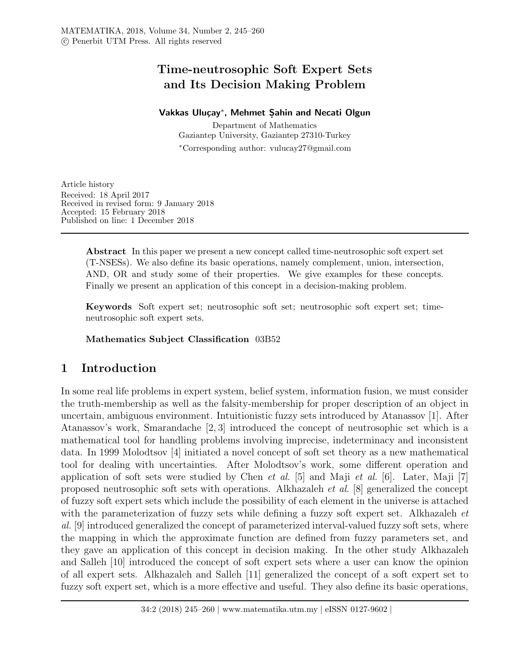# Time-neutrosophic Soft Expert Sets and Its Decision Making Problem

# Vakkas Uluçay\*, Mehmet Şahin and Necati Olgun

Department of Mathematics Gaziantep University, Gaziantep 27310-Turkey <sup>∗</sup>Corresponding author: vulucay27@gmail.com

Article history Received: 18 April 2017 Received in revised form: 9 January 2018 Accepted: 15 February 2018 Published on line: 1 December 2018

> Abstract In this paper we present a new concept called time-neutrosophic soft expert set (T-NSESs). We also define its basic operations, namely complement, union, intersection, AND, OR and study some of their properties. We give examples for these concepts. Finally we present an application of this concept in a decision-making problem.

> Keywords Soft expert set; neutrosophic soft set; neutrosophic soft expert set; timeneutrosophic soft expert sets.

## Mathematics Subject Classification 03B52

# 1 Introduction

In some real life problems in expert system, belief system, information fusion, we must consider the truth-membership as well as the falsity-membership for proper description of an object in uncertain, ambiguous environment. Intuitionistic fuzzy sets introduced by Atanassov [1]. After Atanassov's work, Smarandache [2, 3] introduced the concept of neutrosophic set which is a mathematical tool for handling problems involving imprecise, indeterminacy and inconsistent data. In 1999 Molodtsov [4] initiated a novel concept of soft set theory as a new mathematical tool for dealing with uncertainties. After Molodtsov's work, some different operation and application of soft sets were studied by Chen *et al.* [5] and Maji *et al.* [6]. Later, Maji [7] proposed neutrosophic soft sets with operations. Alkhazaleh et al. [8] generalized the concept of fuzzy soft expert sets which include the possibility of each element in the universe is attached with the parameterization of fuzzy sets while defining a fuzzy soft expert set. Alkhazaleh et al. [9] introduced generalized the concept of parameterized interval-valued fuzzy soft sets, where the mapping in which the approximate function are defined from fuzzy parameters set, and they gave an application of this concept in decision making. In the other study Alkhazaleh and Salleh [10] introduced the concept of soft expert sets where a user can know the opinion of all expert sets. Alkhazaleh and Salleh [11] generalized the concept of a soft expert set to fuzzy soft expert set, which is a more effective and useful. They also define its basic operations,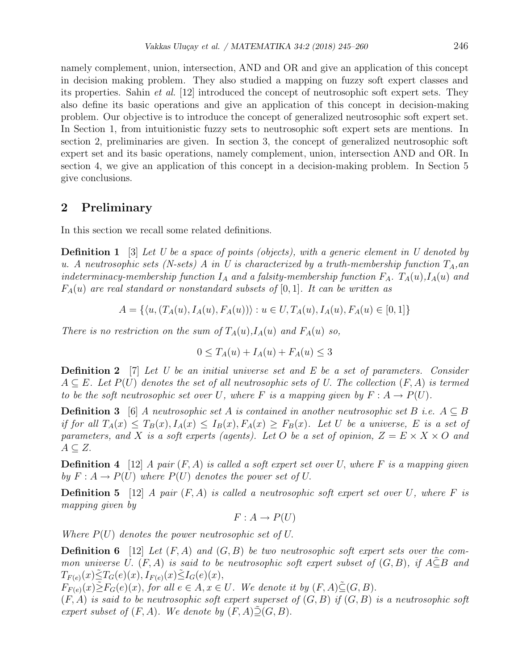namely complement, union, intersection, AND and OR and give an application of this concept in decision making problem. They also studied a mapping on fuzzy soft expert classes and its properties. Sahin et al. [12] introduced the concept of neutrosophic soft expert sets. They also define its basic operations and give an application of this concept in decision-making problem. Our objective is to introduce the concept of generalized neutrosophic soft expert set. In Section 1, from intuitionistic fuzzy sets to neutrosophic soft expert sets are mentions. In section 2, preliminaries are given. In section 3, the concept of generalized neutrosophic soft expert set and its basic operations, namely complement, union, intersection AND and OR. In section 4, we give an application of this concept in a decision-making problem. In Section 5 give conclusions.

## 2 Preliminary

In this section we recall some related definitions.

**Definition 1** [3] Let U be a space of points (objects), with a generic element in U denoted by u. A neutrosophic sets (N-sets) A in U is characterized by a truth-membership function  $T_A$ , an indeterminacy-membership function  $I_A$  and a falsity-membership function  $F_A$ .  $T_A(u)$ ,  $I_A(u)$  and  $F_A(u)$  are real standard or nonstandard subsets of [0, 1]. It can be written as

$$
A = \{ \langle u, (T_A(u), I_A(u), F_A(u)) \rangle : u \in U, T_A(u), I_A(u), F_A(u) \in [0, 1] \}
$$

There is no restriction on the sum of  $T_A(u)$ ,  $I_A(u)$  and  $F_A(u)$  so,

$$
0 \le T_A(u) + I_A(u) + F_A(u) \le 3
$$

**Definition 2** [7] Let U be an initial universe set and E be a set of parameters. Consider  $A \subseteq E$ . Let  $P(U)$  denotes the set of all neutrosophic sets of U. The collection  $(F, A)$  is termed to be the soft neutrosophic set over U, where F is a mapping given by  $F: A \to P(U)$ .

**Definition 3** [6] A neutrosophic set A is contained in another neutrosophic set B i.e.  $A \subseteq B$ if for all  $T_A(x) \leq T_B(x)$ ,  $I_A(x) \leq I_B(x)$ ,  $F_A(x) \geq F_B(x)$ . Let U be a universe, E is a set of parameters, and X is a soft experts (agents). Let O be a set of opinion,  $Z = E \times X \times O$  and  $A \subseteq Z$ .

**Definition 4** [12] A pair  $(F, A)$  is called a soft expert set over U, where F is a mapping given by  $F: A \to P(U)$  where  $P(U)$  denotes the power set of U.

**Definition 5** [12] A pair  $(F, A)$  is called a neutrosophic soft expert set over U, where F is mapping given by

$$
F: A \to P(U)
$$

Where  $P(U)$  denotes the power neutrosophic set of U.

**Definition 6** [12] Let  $(F, A)$  and  $(G, B)$  be two neutrosophic soft expert sets over the common universe U.  $(F, A)$  is said to be neutrosophic soft expert subset of  $(G, B)$ , if  $A \subseteq B$  and  $T_{F(e)}(x) \leq T_G(e)(x), I_{F(e)}(x) \leq I_G(e)(x),$ 

 $F_{F(e)}(x)\tilde{\geq}F_G(e)(x)$ , for all  $e \in A, x \in U$ . We denote it by  $(F, A)\tilde{\subseteq} (G, B)$ .

 $(F, A)$  is said to be neutrosophic soft expert superset of  $(G, B)$  if  $(G, B)$  is a neutrosophic soft expert subset of  $(F, A)$ . We denote by  $(F, A) \tilde{\supseteq} (G, B)$ .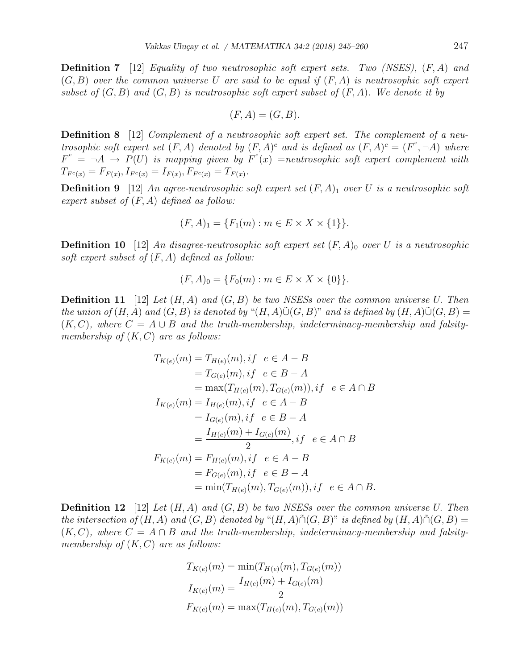**Definition 7** [12] Equality of two neutrosophic soft expert sets. Two (NSES),  $(F, A)$  and  $(G, B)$  over the common universe U are said to be equal if  $(F, A)$  is neutrosophic soft expert subset of  $(G, B)$  and  $(G, B)$  is neutrosophic soft expert subset of  $(F, A)$ . We denote it by

$$
(F, A) = (G, B).
$$

**Definition 8** [12] Complement of a neutrosophic soft expert set. The complement of a neutrosophic soft expert set  $(F, A)$  denoted by  $(F, A)^c$  and is defined as  $(F, A)^c = (F^c, \neg A)$  where  $F^c = \neg A \rightarrow P(U)$  is mapping given by  $F^c(x)$  =neutrosophic soft expert complement with  $T_{F^c(x)} = F_{F(x)}, I_{F^c(x)} = I_{F(x)}, F_{F^c(x)} = T_{F(x)}.$ 

**Definition 9** [12] An agree-neutrosophic soft expert set  $(F, A)$ <sub>1</sub> over U is a neutrosophic soft expert subset of  $(F, A)$  defined as follow:

$$
(F, A)_1 = \{ F_1(m) : m \in E \times X \times \{1\} \}.
$$

**Definition 10** [12] An disagree-neutrosophic soft expert set  $(F, A)_0$  over U is a neutrosophic soft expert subset of  $(F, A)$  defined as follow:

$$
(F, A)_0 = \{ F_0(m) : m \in E \times X \times \{0\} \}.
$$

**Definition 11** [12] Let  $(H, A)$  and  $(G, B)$  be two NSESs over the common universe U. Then the union of  $(H, A)$  and  $(G, B)$  is denoted by " $(H, A)\tilde{\cup}(G, B)$ " and is defined by  $(H, A)\tilde{\cup}(G, B)$  =  $(K, C)$ , where  $C = A \cup B$  and the truth-membership, indeterminacy-membership and falsitymembership of  $(K, C)$  are as follows:

$$
T_{K(e)}(m) = T_{H(e)}(m), if \quad e \in A - B
$$
  
=  $T_{G(e)}(m), if \quad e \in B - A$   
=  $\max(T_{H(e)}(m), T_{G(e)}(m)), if \quad e \in A \cap B$   
 $I_{K(e)}(m) = I_{H(e)}(m), if \quad e \in A - B$   
=  $I_{G(e)}(m), if \quad e \in B - A$   
=  $\frac{I_{H(e)}(m) + I_{G(e)}(m)}{2}, if \quad e \in A \cap B$   
 $F_{K(e)}(m) = F_{H(e)}(m), if \quad e \in A - B$   
=  $F_{G(e)}(m), if \quad e \in B - A$   
=  $\min(T_{H(e)}(m), T_{G(e)}(m)), if \quad e \in A \cap B$ .

**Definition 12** [12] Let  $(H, A)$  and  $(G, B)$  be two NSESs over the common universe U. Then the intersection of  $(H, A)$  and  $(G, B)$  denoted by " $(H, A) \tilde{\cap} (G, B)$ " is defined by  $(H, A) \tilde{\cap} (G, B) =$  $(K, C)$ , where  $C = A \cap B$  and the truth-membership, indeterminacy-membership and falsitymembership of  $(K, C)$  are as follows:

$$
T_{K(e)}(m) = \min(T_{H(e)}(m), T_{G(e)}(m))
$$
  
\n
$$
I_{K(e)}(m) = \frac{I_{H(e)}(m) + I_{G(e)}(m)}{2}
$$
  
\n
$$
F_{K(e)}(m) = \max(T_{H(e)}(m), T_{G(e)}(m))
$$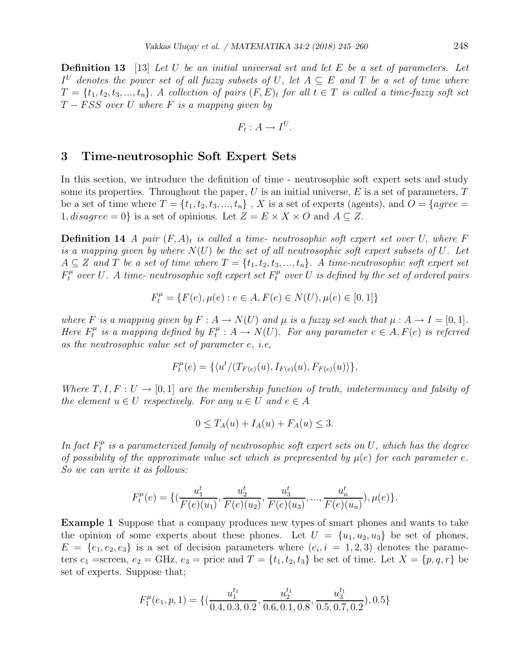**Definition 13** [13] Let U be an initial universal set and let E be a set of parameters. Let  $I^U$  denotes the power set of all fuzzy subsets of U, let  $A \subseteq E$  and T be a set of time where  $T = \{t_1, t_2, t_3, ..., t_n\}$ . A collection of pairs  $(F, E)_t$  for all  $t \in T$  is called a time-fuzzy soft set  $T - FSS$  over U where F is a mapping given by

$$
F_t: A \to I^U.
$$

### 3 Time-neutrosophic Soft Expert Sets

In this section, we introduce the definition of time - neutrosophic soft expert sets and study some its properties. Throughout the paper,  $U$  is an initial universe,  $E$  is a set of parameters,  $T$ be a set of time where  $T = \{t_1, t_2, t_3, ..., t_n\}$ , X is a set of experts (agents), and  $O = \{agree =$ 1, disagree = 0} is a set of opinions. Let  $Z = E \times X \times O$  and  $A \subseteq Z$ .

**Definition 14** A pair  $(F, A)_t$  is called a time- neutrosophic soft expert set over U, where F is a mapping given by where  $N(U)$  be the set of all neutrosophic soft expert subsets of U. Let  $A \subseteq Z$  and T be a set of time where  $T = \{t_1, t_2, t_3, ..., t_n\}$ . A time-neutrosophic soft expert set  $F_t^{\mu}$  over U. A time-neutrosophic soft expert set  $F_t^{\mu}$  over U is defined by the set of ordered pairs

$$
F_t^{\mu} = \{ F(e), \mu(e) : e \in A, F(e) \in N(U), \mu(e) \in [0, 1] \}
$$

where F is a mapping given by  $F: A \to N(U)$  and  $\mu$  is a fuzzy set such that  $\mu: A \to I = [0, 1]$ . Here  $F_t^{\mu}$  $f^\mu_t$  is a mapping defined by  $F^\mu_t$  $t^{\mu}_{t}: A \rightarrow N(U)$ . For any parameter  $e \in A, F(e)$  is referred as the neutrosophic value set of parameter e, i.e,

$$
F_t^{\mu}(e) = \{ \langle u^t / (T_{F(e)}(u), I_{F(e)}(u), F_{F(e)}(u) \rangle \},\
$$

Where  $T, I, F: U \rightarrow [0, 1]$  are the membership function of truth, indeterminacy and falsity of the element  $u \in U$  respectively. For any  $u \in U$  and  $e \in A$ 

$$
0 \leq T_A(u) + I_A(u) + F_A(u) \leq 3.
$$

In fact  $F_t^{\mu}$  $t^{\mu}_{t}$  is a parameterized family of neutrosophic soft expert sets on  $U,$  which has the degree of possibility of the approximate value set which is prepresented by  $\mu(e)$  for each parameter e. So we can write it as follows:

$$
F_t^{\mu}(e) = \{ (\frac{u_1^t}{F(e)(u_1)}, \frac{u_2^t}{F(e)(u_2)}, \frac{u_3^t}{F(e)(u_3)}, ..., \frac{u_n^t}{F(e)(u_n)}), \mu(e) \}.
$$

Example 1 Suppose that a company produces new types of smart phones and wants to take the opinion of some experts about these phones. Let  $U = \{u_1, u_2, u_3\}$  be set of phones,  $E = \{e_1, e_2, e_3\}$  is a set of decision parameters where  $(e_i, i = 1, 2, 3)$  denotes the parameters  $e_1$  =screen,  $e_2$  = GHz,  $e_3$  = price and  $T = \{t_1, t_2, t_3\}$  be set of time. Let  $X = \{p, q, r\}$  be set of experts. Suppose that;

$$
F_1^{\mu}(e_1, p, 1) = \{(\frac{u_1^{t_1}}{0.4, 0.3, 0.2}, \frac{u_2^{t_1}}{0.6, 0.1, 0.8}, \frac{u_3^{t_1}}{0.5, 0.7, 0.2}), 0.5\}
$$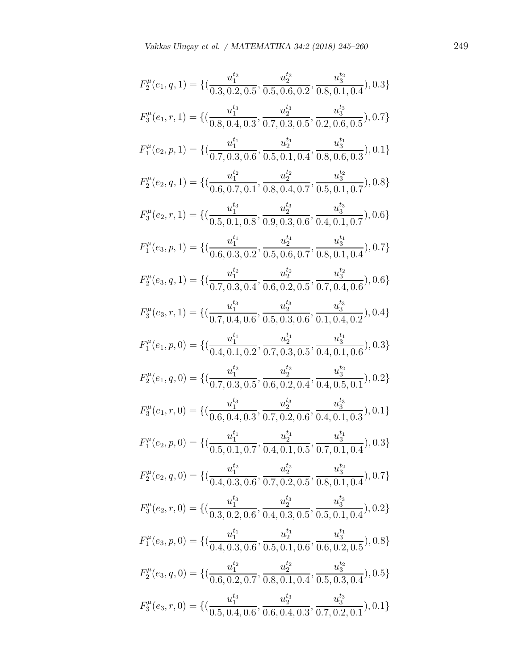$$
F_2^{\mu}(e_1, q, 1) = \{ (\frac{u_1^{t_2}}{0.3, 0.2, 0.5}, \frac{u_2^{t_2}}{0.5, 0.6, 0.2}, \frac{u_3^{t_3}}{0.8, 0.1, 0.4}), 0.3 \}
$$
  
\n
$$
F_3^{\mu}(e_1, r, 1) = \{ (\frac{u_1^{t_3}}{0.8, 0.4, 0.3}, \frac{u_2^{t_3}}{0.7, 0.3, 0.5}, \frac{u_3^{t_3}}{0.2, 0.6, 0.5}), 0.7 \}
$$
  
\n
$$
F_1^{\mu}(e_2, p, 1) = \{ (\frac{u_1^{t_1}}{0.7, 0.3, 0.6}, \frac{u_2^{t_1}}{0.5, 0.1, 0.4}, \frac{u_3^{t_1}}{0.8, 0.6, 0.3}), 0.1 \}
$$
  
\n
$$
F_2^{\mu}(e_2, q, 1) = \{ (\frac{u_1^{t_2}}{0.6, 0.7, 0.1}, \frac{u_2^{t_2}}{0.8, 0.4, 0.7}, \frac{u_3^{t_3}}{0.5, 0.1, 0.7}), 0.8 \}
$$
  
\n
$$
F_3^{\mu}(e_2, r, 1) = \{ (\frac{u_1^{t_1}}{0.5, 0.1, 0.8}, \frac{u_2^{t_3}}{0.9, 0.3, 0.6}, \frac{u_3^{t_3}}{0.4, 0.1, 0.7}, 0.05 \}
$$
  
\n
$$
F_4^{\mu}(e_3, p, 1) = \{ (\frac{u_1^{t_1}}{0.7, 0.3, 0.2}, \frac{u_2^{t_2}}{0.5, 0.6, 0.7}, \frac{u_3^{t_3}}{0.8, 0.1, 0.4}), 0.7 \}
$$
  
\n
$$
F_2^{\mu}(e_3, q, 1) = \{ (\frac{u_1^{t_1}}{0.7, 0.3, 0.2}, \frac{u_2^{t_2}}{0.5, 0.6, 0.2}, \frac{
$$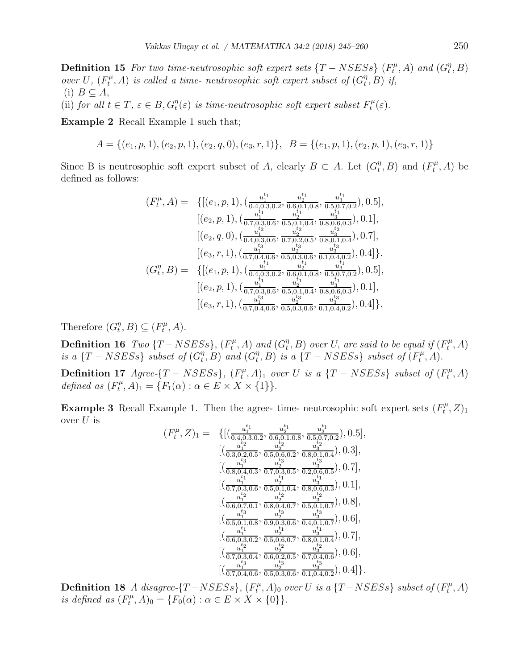**Definition 15** For two time-neutrosophic soft expert sets  $\{T - NSESs\}$  ( $F_t^{\mu}$ )  $g_t^{\mu}$ , A) and  $(G_t^{\eta})$  $_{t}^{\eta},B)$ over U,  $(F_t^{\mu}$  $t^{\mu}_{t},A)$  is called a time- neutrosophic soft expert subset of  $(G^{\eta}_{t})$  $_{t}^{\eta},B)$  if, (i)  $B \subseteq A$ ,

(ii) for all  $t \in T$ ,  $\varepsilon \in B$ ,  $G_t^{\eta}(\varepsilon)$  is time-neutrosophic soft expert subset  $F_t^{\mu}$  $t^{\mu}(\varepsilon).$ 

Example 2 Recall Example 1 such that;

$$
A = \{(e_1, p, 1), (e_2, p, 1), (e_2, q, 0), (e_3, r, 1)\}, B = \{(e_1, p, 1), (e_2, p, 1), (e_3, r, 1)\}
$$

Since B is neutrosophic soft expert subset of A, clearly  $B \subset A$ . Let  $(G_t^{\eta})$  $t^{\eta}, B$ ) and  $(F_t^{\mu})$  $t^{\mu}_{t}, A)$  be defined as follows:

$$
(F_t^{\mu}, A) = \{[(e_1, p, 1), (\frac{u_1^{t_1}}{0.4, 0.3, 0.2}, \frac{u_2^{t_1}}{0.6, 0.1, 0.8}, \frac{u_3^{t_1}}{0.5, 0.7, 0.2}), 0.5],\\ [(e_2, p, 1), (\frac{u_1^{t_1}}{0.7, 0.3, 0.6}, \frac{u_2^{t_1}}{0.5, 0.1, 0.4}, \frac{u_3^{t_1}}{0.8, 0.6, 0.3}), 0.1],\\ [(e_2, q, 0), (\frac{u_1^{t_2}}{0.4, 0.3, 0.6}, \frac{u_2^{t_2}}{0.7, 0.2, 0.5}, \frac{u_3^{t_3}}{0.8, 0.1, 0.4}), 0.7],\\ [(e_3, r, 1), (\frac{u_1^{t_3}}{0.7, 0.4, 0.6}, \frac{u_2^{t_3}}{0.5, 0.3, 0.6}, \frac{u_3^{t_3}}{0.1, 0.4, 0.2}), 0.4]\}.
$$

$$
(G_t^{\eta}, B) = \{[(e_1, p, 1), (\frac{u_1^{t_1}}{0.4, 0.3, 0.2}, \frac{u_2^{t_1}}{0.6, 0.1, 0.8}, \frac{u_3^{t_3}}{0.5, 0.7, 0.2}), 0.5],\\ [(e_2, p, 1), (\frac{u_1^{t_1}}{0.7, 0.3, 0.6}, \frac{u_2^{t_1}}{0.5, 0.1, 0.4}, \frac{u_3^{t_1}}{0.8, 0.6, 0.3}), 0.1],\\ [(e_3, r, 1), (\frac{u_1^{t_3}}{0.7, 0.4, 0.6}, \frac{u_2^{t_3}}{0.5, 0.3, 0.6}, \frac{u_3^{t_3}}{0.1, 0.4, 0.2}), 0.4]\}.
$$

Therefore  $(G_t^{\eta})$  $_t^{\eta}, B) \subseteq (F_t^{\mu})$  $t^{\mu}, A$ ).

Definition 16  $Two~{T - NSE}$ S $, (F_t^{\mu})$  $f_t^{\mu}$ , A) and  $(G_t^{\eta})$  $_{t}^{\eta},B)$  over U, are said to be equal if  $(F_{t}^{\mu})$  $t^{\mu}, A)$ is a  $\{T-NSESS\}$  subset of  $(G_t^{\eta})$  $_{t}^{\eta},B)$  and  $(G_{t}^{\eta})$  $\binom{\eta}{t}$ , B) is a {T – NSESs} subset of ( $F_t^{\mu}$  $t^{\mu}, A$ ).

Definition 17 Agree- $\{T-NSESs\}$ ,  $(F_t^{\mu})$  $(t<sup>\mu</sup>, A)<sub>1</sub>$  over U is a {T – NSESs} subset of ( $F_t^{\mu}$  $t^{\mu}, A)$ defined as  $(F_t^{\mu}$  $(T_t^{\mu}, A)_1 = \{F_1(\alpha) : \alpha \in E \times X \times \{1\}\}.$ 

**Example 3** Recall Example 1. Then the agree- time- neutrosophic soft expert sets  $(F_t^{\mu})$  $t^{\mu},Z)_1$ over  $U$  is

$$
(F_t^{\mu}, Z)_1 = \{ [(\frac{u_1^{t_1}}{0.4, 0.3, 0.2}, \frac{u_2^{t_1}}{0.6, 0.1, 0.8}, \frac{u_3^{t_1}}{0.5, 0.7, 0.2}), 0.5],\\ [(\frac{u_1^{t_2}}{0.3, 0.2, 0.5}, \frac{u_2^{t_2}}{0.5, 0.6, 0.2}, \frac{u_3^{t_2}}{0.8, 0.1, 0.4}), 0.3],\\ [(\frac{u_1^{t_3}}{0.8, 0.4, 0.3}, \frac{u_2^{t_3}}{0.7, 0.3, 0.5}, \frac{u_3^{t_3}}{0.2, 0.6, 0.5}), 0.7],\\ [(\frac{u_1^{t_1}}{0.7, 0.3, 0.6}, \frac{u_2^{t_1}}{0.5, 0.1, 0.4}, \frac{u_3^{t_1}}{0.8, 0.6, 0.3}), 0.1],\\ [(\frac{u_1^{t_1}}{0.7, 0.3, 0.6}, \frac{u_2^{t_2}}{0.5, 0.1, 0.4}, \frac{u_3^{t_3}}{0.8, 0.6, 0.3}), 0.8],\\ [(\frac{u_1^{t_3}}{0.6, 0.7, 0.1}, \frac{u_2^{t_3}}{0.8, 0.4, 0.7}, \frac{u_3^{t_3}}{0.5, 0.1, 0.7}), 0.6],\\ [(\frac{u_1^{t_1}}{0.5, 0.1, 0.8}, \frac{u_2^{t_1}}{0.9, 0.3, 0.6}, \frac{u_3^{t_3}}{0.4, 0.1, 0.7}), 0.7],\\ [(\frac{u_1^{t_1}}{0.7, 0.3, 0.4}, \frac{u_2^{t_2}}{0.6, 0.2, 0.5}, \frac{u_3^{t_3}}{0.7, 0.4, 0.6}), 0.6],\\ [(\frac{u_1^{t_3}}{0.7, 0.4, 0.6}, \frac{u_2^{t_3}}{0.5, 0.3, 0.6}, \frac{u_3^{t_3}}{0.
$$

Definition 18 A disagree- $\{T-NSESS\}$ ,  $(F_t^{\mu})$  $(t<sup>\mu</sup>, A)<sub>0</sub>$  over U is a {T-NSESs} subset of  $(F<sup>\mu</sup>$  $t^{\mu}, A)$ is defined as  $(F_t^{\mu})$  $(T_t^{\mu}, A)_0 = \{ F_0(\alpha) : \alpha \in E \times X \times \{0\} \}.$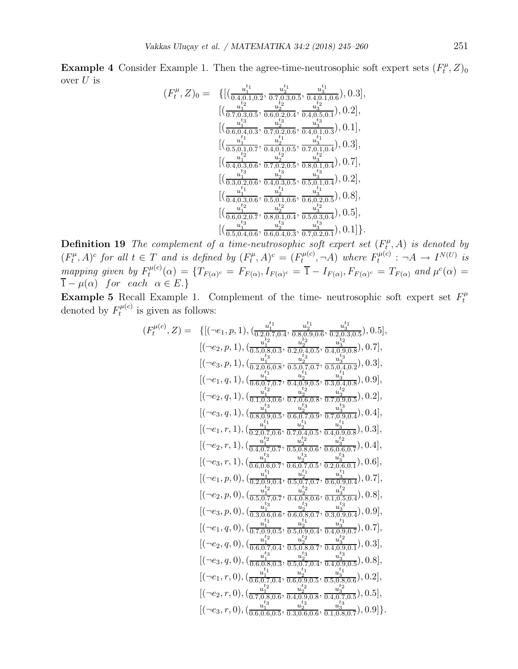**Example 4** Consider Example 1. Then the agree-time-neutrosophic soft expert sets  $(F_t^{\mu})$  $T^\mu_t,Z)_0$ over  $U$  is  $t_1$ 

$$
(F_t^{\mu}, Z)_0 = \{ [(\frac{u_1^{t_1}}{0.4, 0.1, 0.2}, \frac{u_2^{t_1}}{0.7, 0.3, 0.5}, \frac{u_3^{t_1}}{0.4, 0.1, 0.6}), 0.3],\\ [(\frac{u_1^{t_2}}{0.7, 0.3, 0.5}, \frac{u_2^{t_2}}{0.6, 0.2, 0.4}, \frac{u_3^{t_2}}{0.4, 0.5, 0.1}), 0.2],\\ [(\frac{u_1^{t_3}}{0.6, 0.4, 0.3}, \frac{u_2^{t_3}}{0.7, 0.2, 0.6}, \frac{u_3^{t_3}}{0.4, 0.1, 0.3}), 0.1],\\ [(\frac{u_1^{t_1}}{0.5, 0.1, 0.7}, \frac{u_2^{t_1}}{0.4, 0.1, 0.5}, \frac{u_3^{t_1}}{0.7, 0.1, 0.4}), 0.3],\\ [(\frac{u_1^{t_2}}{0.5, 0.1, 0.7}, \frac{u_2^{t_2}}{0.4, 0.1, 0.5}, \frac{u_3^{t_3}}{0.7, 0.1, 0.4}), 0.7],\\ [(\frac{u_1^{t_3}}{0.4, 0.3, 0.6}, \frac{u_2^{t_3}}{0.7, 0.2, 0.5}, \frac{u_3^{t_3}}{0.8, 0.1, 0.4}), 0.2],\\ [(\frac{u_1^{t_1}}{0.3, 0.2, 0.6}, \frac{u_2^{t_3}}{0.4, 0.3, 0.5}, \frac{u_3^{t_3}}{0.5, 0.1, 0.4}), 0.2],\\ [(\frac{u_1^{t_1}}{0.4, 0.3, 0.6}, \frac{u_2^{t_2}}{0.5, 0.1, 0.6}, \frac{u_3^{t_3}}{0.6, 0.2, 0.5}), 0.8],\\ [(\frac{u_1^{t_2}}{0.6, 0.2, 0.7}, \frac{u_2^{t_2}}{0.8, 0.1, 0.4}, \frac{u_3^{t_3}}{0.
$$

**Definition 19** The complement of a time-neutrosophic soft expert set  $(F_t^{\mu})$  $t^{\mu}_{t}, A)$  is denoted by  $(F_t^{\mu}$  $(t<sup>\mu</sup>, A)<sup>c</sup>$  for all  $t \in T$  and is defined by  $(F<sup>\mu</sup>)<sub>t</sub>$  $(f_t^{\mu}, A)^c = (F_t^{\mu(c)})$  $F_t^{\mu(c)}, \neg A)$  where  $F_t^{\mu(c)}$  $t^{u(c)}: \neg A \rightarrow I^{N(U)}$  is mapping given by  $F_t^{\mu(c)}$  $t^{u(\alpha)}(\alpha) = \{T_{F(\alpha)^c} = F_{F(\alpha)}, I_{F(\alpha)^c} = \overline{1} - I_{F(\alpha)}, F_{F(\alpha)^c} = T_{F(\alpha)}$  and  $\mu^c(\alpha) =$  $1 - \mu(\alpha)$  for each  $\alpha \in E$ .

**Example 5** Recall Example 1. Complement of the time- neutrosophic soft expert set  $F_t^{\mu}$ t denoted by  $F_t^{\mu(c)}$  $t_t^{\mu(c)}$  is given as follows:

 $\left($ 

$$
F_{t}^{\mu(c)}, Z) = \{ [(\neg e_1, p, 1), (\frac{u_1^{t_1}}{0.2, 0.7, 0.4}, \frac{u_2^{t_1}}{0.8, 0.9, 0.6}, \frac{u_3^{t_1}}{0.2, 0.3, 0.5}), 0.5], \\ [(\neg e_2, p, 1), (\frac{u_1^{t_2}}{0.5, 0.8, 0.3}, \frac{u_2^{t_2}}{0.2, 0.4, 0.5}, \frac{u_3^{t_3}}{0.4, 0.9, 0.8}), 0.7], \\ [(\neg e_3, p, 1), (\frac{u_1^{t_3}}{0.2, 0.6, 0.5}, \frac{u_2^{t_3}}{0.5, 0.7, 0.7}, \frac{u_3^{t_3}}{0.5, 0.4, 0.2}), 0.3], \\ [(\neg e_1, q, 1), (\frac{u_1^{t_1}}{0.6, 0.7, 0.7}, \frac{u_2^{t_1}}{0.4, 0.8}, \frac{u_3^{t_1}}{0.3, 0.4, 0.8}), 0.9], \\ [(\neg e_2, q, 1), (\frac{u_1^{t_1}}{0.1, 0.8}, \frac{u_2^{t_2}}{0.7, 0.6}, \frac{u_2^{t_3}}{0.7, 0.9, 0.5}), 0.2], \\ [(\neg e_3, q, 1), (\frac{u_1^{t_1}}{0.2, 0.7, 0.6}, \frac{u_2^{t_2}}{0.7, 0.9}, \frac{u_3^{t_3}}{0.7, 0.9, 0.4}), 0.4], \\ [(\neg e_1, r, 1), (\frac{u_1^{t_1}}{0.2, 0.7, 0.6}, \frac{u_2^{t_3}}{0.7, 0.4, 0.5}, \frac{u_3^{t_3}}{0.4, 0.9, 0.8}), 0.3], \\ [(\neg e_2, r, 1), (\frac{u_1^{t_1}}{0.4, 0.7, 0.7}, \frac{u_2^{t_3}}{0.5, 0.8, 0.6}, \frac{u_3^{t_3}}{0.4, 0.9, 0.8}), 0.
$$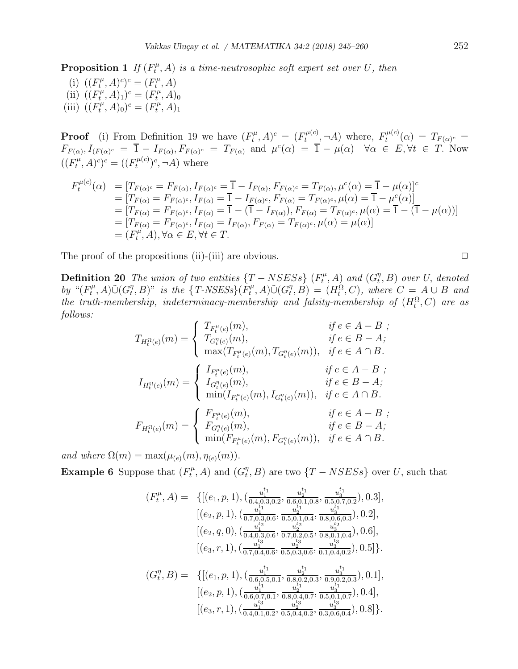(i)  $((F_t^{\mu})$  $(T_t^{\mu}, A)^c)^c = (F_t^{\mu})$  $t^{\mu}, A)$ (ii)  $((F_t^{\mu})$  $(T_t^{\mu}, A)_1)^c = (F_t^{\mu})$  $t^{\mu}, A)_0$ (iii)  $((F_t^{\mu})$  $(T_t^{\mu}, A)_0)^c = (F_t^{\mu})$  $t^{\mu}, A)_1$ 

**Proof** (i) From Definition 19 we have  $(F_t^{\mu})$  $(f_t^{\mu}, A)^c = (F_t^{\mu(c)})$  $F_t^{\mu(c)}, \neg A)$  where,  $F_t^{\mu(c)}$  $T_f^{\mu(c)}(\alpha) \,=\, T_{F(\alpha)^c} \,=\, 0$  $F_{F(\alpha)}, I_{(F(\alpha)^c)} = \overline{1} - I_{F(\alpha)}, F_{F(\alpha)^c} = T_{F(\alpha)}$  and  $\mu^c(\alpha) = \overline{1} - \mu(\alpha) \quad \forall \alpha \in E, \forall t \in T$ . Now  $((F_t^{\mu})$  $(r_t^{\mu}, A)^c$ )<sup>c</sup> = (( $F_t^{\mu(c)}$  $(t^{(\mu(c)})^c, \neg A)$  where

$$
F_t^{\mu(c)}(\alpha) = [T_{F(\alpha)^c} = F_{F(\alpha)}, I_{F(\alpha)^c} = \overline{1} - I_{F(\alpha)}, F_{F(\alpha)^c} = T_{F(\alpha)}, \mu^c(\alpha) = \overline{1} - \mu(\alpha)]^c
$$
  
\n
$$
= [T_{F(\alpha)} = F_{F(\alpha)^c}, I_{F(\alpha)} = \overline{1} - I_{F(\alpha)^c}, F_{F(\alpha)} = T_{F(\alpha)^c}, \mu(\alpha) = \overline{1} - \mu^c(\alpha)]
$$
  
\n
$$
= [T_{F(\alpha)} = F_{F(\alpha)^c}, I_{F(\alpha)} = \overline{1} - (\overline{1} - I_{F(\alpha)}), F_{F(\alpha)} = T_{F(\alpha)^c}, \mu(\alpha) = \overline{1} - (\overline{1} - \mu(\alpha))]
$$
  
\n
$$
= [T_{F(\alpha)} = F_{F(\alpha)^c}, I_{F(\alpha)} = I_{F(\alpha)}, F_{F(\alpha)} = T_{F(\alpha)^c}, \mu(\alpha) = \mu(\alpha)]
$$
  
\n
$$
= (F_t^{\mu}, A), \forall \alpha \in E, \forall t \in T.
$$

The proof of the propositions (ii)-(iii) are obvious.  $\Box$ 

**Definition 20** The union of two entities  $\{T - NSESS\}$  ( $F_t^{\mu}$ )  $f_t^{\mu}$ , A) and  $(G_t^{\eta})$  $_{t}^{\eta},B)$  over U, denoted by " $(F_t^{\mu}$  $(T_t^{\mu}, A)\tilde{\cup}(G_t^{\eta})$  $(t, B)$ " is the {T-NSESs}( $F_t^{\mu}$  $(T_t^{\mu}, A)\tilde{\cup}(G_t^{\eta})$  $(t<sup>η</sup>, B) = (H<sub>t</sub><sup>Ω</sup>, C)$ , where  $C = A \cup B$  and the truth-membership, indeterminacy-membership and falsity-membership of  $(H_t^{\Omega}, C)$  are as follows:

$$
T_{H_t^{\Omega}(e)}(m) = \begin{cases} T_{F_t^{\mu}(e)}(m), & \text{if } e \in A - B ; \\ T_{G_t^{\eta}(e)}(m), & \text{if } e \in B - A ; \\ \max(T_{F_t^{\mu}(e)}(m), T_{G_t^{\eta}(e)}(m)), & \text{if } e \in A \cap B. \end{cases}
$$
  

$$
I_{H_t^{\Omega}(e)}(m) = \begin{cases} I_{F_t^{\mu}(e)}(m), & \text{if } e \in A - B ; \\ I_{G_t^{\eta}(e)}(m), & \text{if } e \in B - A ; \\ \min(I_{F_t^{\mu}(e)}(m), I_{G_t^{\eta}(e)}(m)), & \text{if } e \in A \cap B. \end{cases}
$$
  

$$
F_{H_t^{\Omega}(e)}(m) = \begin{cases} F_{F_t^{\mu}(e)}(m), & \text{if } e \in A - B ; \\ F_{G_t^{\eta}(e)}(m), & \text{if } e \in B - A ; \\ \min(F_{F_t^{\mu}(e)}(m), F_{G_t^{\eta}(e)}(m)), & \text{if } e \in A \cap B. \end{cases}
$$

and where  $\Omega(m) = \max(\mu_{(e)}(m), \eta_{(e)}(m)).$ 

**Example 6** Suppose that  $(F_t^{\mu})$  $G_t^{\mu}$ , A) and  $(G_t^{\eta})$  $(T, B)$  are two  $\{T - NSESs\}$  over U, such that

$$
(F_t^{\mu}, A) = \{ [(e_1, p, 1), (\frac{u_1^{t_1}}{0.4, 0.3, 0.2}, \frac{u_2^{t_1}}{0.6, 0.1, 0.8}, \frac{u_3^{t_1}}{0.5, 0.7, 0.2}), 0.3],
$$
  
\n
$$
[(e_2, p, 1), (\frac{u_1^{t_1}}{0.7, 0.3, 0.6}, \frac{u_2^{t_1}}{0.5, 0.1, 0.4}, \frac{u_3^{t_1}}{0.8, 0.6, 0.3}), 0.2],
$$
  
\n
$$
[(e_2, q, 0), (\frac{u_1^{t_2}}{0.4, 0.3, 0.6}, \frac{u_2^{t_2}}{0.7, 0.2, 0.5}, \frac{u_3^{t_2}}{0.8, 0.1, 0.4}), 0.6],
$$
  
\n
$$
[(e_3, r, 1), (\frac{u_1^{t_3}}{0.7, 0.4, 0.6}, \frac{u_2^{t_3}}{0.5, 0.3, 0.6}, \frac{u_3^{t_3}}{0.1, 0.4, 0.2}), 0.5]\}.
$$
  
\n
$$
(G_t^{\eta}, B) = \{ [(e_1, p, 1), (\frac{u_1^{t_1}}{0.6, 0.5, 0.1}, \frac{u_2^{t_1}}{0.8, 0.2, 0.3}, \frac{u_3^{t_1}}{0.9, 0.2, 0.3}), 0.1],
$$
  
\n
$$
[(e_2, p, 1), (\frac{u_1^{t_1}}{0.6, 0.7, 0.1}, \frac{u_2^{t_1}}{0.8, 0.4, 0.7}, \frac{u_3^{t_1}}{0.5, 0.1, 0.7}), 0.4],
$$
  
\n
$$
[(e_3, r, 1), (\frac{u_1^{t_3}}{0.4, 0.1, 0.2}, \frac{u_2^{t_3}}{0.5, 0.4, 0.2}, \frac{u_3^{t_3}}{0.3, 0.6, 0.4}), 0.8]\}.
$$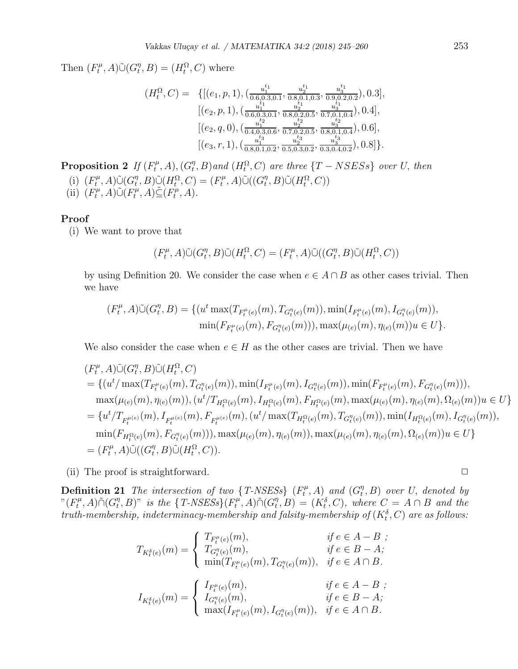Then  $(F_t^{\mu}$  $(T_t^{\mu}, A)\tilde{\cup}(G_t^{\eta})$  $t^{\eta}, B$  =  $(H_t^{\Omega}, C)$  where

$$
(H_t^{\Omega}, C) = \{[(e_1, p, 1), (\frac{u_1^{t_1}}{0.6, 0.3, 0.1}, \frac{u_2^{t_1}}{0.8, 0.1, 0.3}, \frac{u_3^{t_1}}{0.9, 0.2, 0.2}), 0.3],\\ [(e_2, p, 1), (\frac{u_1^{t_1}}{0.6, 0.3, 0.1}, \frac{u_2^{t_1}}{0.8, 0.2, 0.5}, \frac{u_3^{t_1}}{0.7, 0.1, 0.4}), 0.4],\\ [(e_2, q, 0), (\frac{u_1^{t_2}}{0.4, 0.3, 0.6}, \frac{u_2^{t_2}}{0.7, 0.2, 0.5}, \frac{u_3^{t_2}}{0.8, 0.1, 0.4}), 0.6],\\ [(e_3, r, 1), (\frac{u_1^{t_3}}{0.8, 0.1, 0.2}, \frac{u_2^{t_3}}{0.5, 0.3, 0.2}, \frac{u_3^{t_3}}{0.3, 0.4, 0.2}), 0.8]\}.
$$

Proposition 2 If  $(F_t^{\mu})$  $G_t^{\mu}, A), (G_t^{\eta})$  $_{t}^{\eta},B)$  and  $(H_{t}^{\Omega},C)$  are three  $\{T-NSESS\}$  over U, then (i)  $(F_t^{\mu}$  $(T_t^{\mu}, A)\tilde{\cup}(G_t^{\eta})$  $(T_t^{\eta}, B)\tilde{\cup}(H_t^{\Omega}, C) = (F_t^{\mu})$  $(T_t^{\mu}, A)\tilde{\cup}((G_t^{\eta})$  $_{t}^{\eta},B)\tilde{\cup}(H_{t}^{\Omega},C))$ 

(ii)  $(F_t^{\mu})$  $(\overline{F}_t^{\mu}, A)\tilde{\cup}(\overline{F}_t^{\mu})$  $(\overline{F}_t^{\mu}, A)\tilde{\subseteq}(\overline{F}_t^{\mu})$  $t^{\mu}, A$ ).

#### Proof

(i) We want to prove that

$$
(F_t^{\mu}, A)\tilde{\cup}(G_t^{\eta}, B)\tilde{\cup}(H_t^{\Omega}, C) = (F_t^{\mu}, A)\tilde{\cup}((G_t^{\eta}, B)\tilde{\cup}(H_t^{\Omega}, C))
$$

by using Definition 20. We consider the case when  $e \in A \cap B$  as other cases trivial. Then we have

$$
(F_t^{\mu}, A)\tilde{\cup}(G_t^{\eta}, B) = \{ (u^t \max(T_{F_t^{\mu}(e)}(m), T_{G_t^{\eta}(e)}(m)), \min(T_{F_t^{\mu}(e)}(m), I_{G_t^{\eta}(e)}(m)),
$$
  

$$
\min(F_{F_t^{\mu}(e)}(m), F_{G_t^{\eta}(e)}(m))), \max(\mu_{(e)}(m), \eta_{(e)}(m))u \in U \}.
$$

We also consider the case when  $e \in H$  as the other cases are trivial. Then we have

$$
(F_t^{\mu}, A)\tilde{\cup}(G_t^{\eta}, B)\tilde{\cup}(H_t^{\Omega}, C)
$$
  
\n
$$
= \{(u^t/\max(T_{F_t^{\mu}(e)}(m), T_{G_t^{\eta}(e)}(m)), \min(T_{F_t^{\mu}(e)}(m), I_{G_t^{\eta}(e)}(m)), \min(F_{F_t^{\mu}(e)}(m), F_{G_t^{\eta}(e)}(m))),
$$
  
\n
$$
\max(\mu_{(e)}(m), \eta_{(e)}(m)), (u^t/T_{H_t^{\Omega}(e)}(m), I_{H_t^{\Omega}(e)}(m), F_{H_t^{\Omega}(e)}(m), \max(\mu_{(e)}(m), \eta_{(e)}(m), \Omega_{(e)}(m))u \in U\}
$$
  
\n
$$
= \{u^t/T_{F_t^{\mu}(e)}(m), I_{F_t^{\mu}(e)}(m), F_{F_t^{\mu}(e)}(m), (u^t/\max(T_{H_t^{\Omega}(e)}(m), T_{G_t^{\eta}(e)}(m)), \min(I_{H_t^{\Omega}(e)}(m), I_{G_t^{\eta}(e)}(m)),
$$
  
\n
$$
\min(F_{H_t^{\Omega}(e)}(m), F_{G_t^{\eta}(e)}(m))), \max(\mu_{(e)}(m), \eta_{(e)}(m)), \max(\mu_{(e)}(m), \eta_{(e)}(m), \Omega_{(e)}(m))u \in U\}
$$
  
\n
$$
= (F_t^{\mu}, A)\tilde{\cup}((G_t^{\eta}, B)\tilde{\cup}(H_t^{\Omega}, C)).
$$

(ii) The proof is straightforward.  $\Box$ 

**Definition 21** The intersection of two  $\{T\text{-}NSESs\}$   $(F_t^{\mu})$  $G_t^{\mu}$ , A) and  $(G_t^{\eta})$  $\binom{\eta}{t}$ , B) over U, denoted by " $(F_t^{\mu}$  $T_t^{\mu}, A$ ) $\tilde{\cap} (G_t^{\eta})$  $(t, B)$ " is the  $\{T\text{-}NSESs\}(F_t^{\mu})$  $T^\mu_t, A$ ) $\tilde{\cap} (G^\eta_t)$  $(t<sup>η</sup>, B) = (K<sup>δ</sup><sub>t</sub>, C)$ , where  $C = A \cap B$  and the truth-membership, indeterminacy-membership and falsity-membership of  $(K_t^{\delta}, C)$  are as follows:

$$
T_{K_t^{\delta}(e)}(m) = \begin{cases} T_{F_t^{\mu}(e)}(m), & \text{if } e \in A - B ; \\ T_{G_t^{\eta}(e)}(m), & \text{if } e \in B - A; \\ \min(T_{F_t^{\mu}(e)}(m), T_{G_t^{\eta}(e)}(m)), & \text{if } e \in A \cap B. \end{cases}
$$
  

$$
I_{K_t^{\delta}(e)}(m) = \begin{cases} I_{F_t^{\mu}(e)}(m), & \text{if } e \in A - B ; \\ I_{G_t^{\eta}(e)}(m), & \text{if } e \in B - A; \\ \max(I_{F_t^{\mu}(e)}(m), I_{G_t^{\eta}(e)}(m)), & \text{if } e \in A \cap B. \end{cases}
$$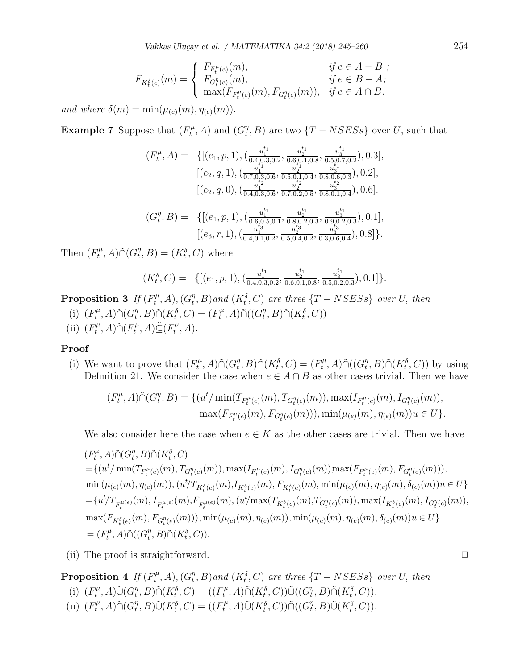Vakkas Uluçay et al. / MATEMATIKA 34:2 (2018) 245–260 254

$$
F_{K_t^{\delta}(e)}(m) = \begin{cases} F_{F_t^{\mu}(e)}(m), & \text{if } e \in A - B ;\\ F_{G_t^{\eta}(e)}(m), & \text{if } e \in B - A;\\ \max(F_{F_t^{\mu}(e)}(m), F_{G_t^{\eta}(e)}(m)), & \text{if } e \in A \cap B. \end{cases}
$$

and where  $\delta(m) = \min(\mu_{(e)}(m), \eta_{(e)}(m)).$ 

**Example 7** Suppose that  $(F_t^{\mu})$  $G_t^{\mu}$ , A) and  $(G_t^{\eta})$  $_{t}^{\eta},B)$  are two  $\{T-NSESS\}$  over U, such that

$$
(F_t^{\mu}, A) = \{ [(e_1, p, 1), (\frac{u_1^{t_1}}{0.4, 0.3, 0.2}, \frac{u_2^{t_1}}{0.6, 0.1, 0.8}, \frac{u_3^{t_1}}{0.5, 0.7, 0.2}), 0.3],\n[(e_2, q, 1), (\frac{u_1^{t_1}}{0.7, 0.3, 0.6}, \frac{u_2^{t_1}}{0.5, 0.1, 0.4}, \frac{u_3^{t_1}}{0.8, 0.6, 0.3}), 0.2],\n[(e_2, q, 0), (\frac{u_1^{t_2}}{0.4, 0.3, 0.6}, \frac{u_2^{t_2}}{0.7, 0.2, 0.5}, \frac{u_3^{t_2}}{0.8, 0.1, 0.4}), 0.6].\n(C_n, p, 1), (\frac{u_1^{t_1}}{0.4, 0.3, 0.6}, \frac{u_2^{t_1}}{0.7, 0.2, 0.5}, \frac{u_3^{t_1}}{0.8, 0.1, 0.4}), 0.1]
$$

$$
(G_t^{\eta}, B) = \{[(e_1, p, 1), (\frac{u_1^{1}}{0.6, 0.5, 0.1}, \frac{u_2^{1}}{0.8, 0.2, 0.3}, \frac{u_3^{1}}{0.9, 0.2, 0.3}), 0.1],
$$

$$
[(e_3, r, 1), (\frac{u_1^{13}}{0.4, 0.1, 0.2}, \frac{u_2^{13}}{0.5, 0.4, 0.2}, \frac{u_3^{13}}{0.3, 0.6, 0.4}), 0.8]\}.
$$

Then  $(F_t^{\mu}$  $T_t^{\mu}, A$ ) $\tilde{\cap} (G_t^{\eta})$  $t^{\eta},B)=(K_t^{\delta},C)$  where

$$
(K_t^{\delta}, C) = \{ [(e_1, p, 1), (\frac{u_1^{t_1}}{0.4, 0.3, 0.2}, \frac{u_2^{t_1}}{0.6, 0.1, 0.8}, \frac{u_3^{t_1}}{0.5, 0.2, 0.3}), 0.1] \}.
$$

Proposition 3 If  $(F_t^{\mu})$  $(T_t^{\mu}, A), (G_t^{\eta})$  $_{t}^{\eta},B)$  and  $(K_{t}^{\delta},C)$  are three  $\{T-NSESS\}$  over U, then

- (i)  $(F_t^{\mu}$  $T_t^{\mu}, A$ ) $\tilde{\cap} (G_t^{\eta})$  $(T_t^\eta, B)\tilde{\cap}(K_t^\delta, C) = (F_t^\mu)$  $T_t^{\mu}, A$ ) $\tilde{\cap}((G_t^{\eta})$  $_{t}^{\eta},B)\tilde{\cap}(K_{t}^{\delta},C))$
- (ii)  $(F_t^{\mu}$  $T_t^{\mu}, A$ ) $\tilde{\cap}(F_t^{\mu})$  $(T_t^{\mu}, A) \tilde{\subseteq} (F_t^{\mu})$  $t^{\mu}, A$ ).

#### Proof

(i) We want to prove that  $(F_t^{\mu})$  $T_t^{\mu}, A$ ) $\tilde{\cap} (G_t^{\eta})$  $(T_t^\eta, B)\tilde{\cap}(K_t^\delta, C) = (F_t^\mu)$  $T_t^\mu$ , A) $\tilde{\cap}((G_t^\eta$  $(T_t, B) \tilde{\cap} (K_t^{\delta}, C)$  by using Definition 21. We consider the case when  $e \in A \cap B$  as other cases trivial. Then we have

$$
(F_t^{\mu}, A)\tilde{\cap}(G_t^{\eta}, B) = \{ (u^t/\min(T_{F_t^{\mu}(e)}(m), T_{G_t^{\eta}(e)}(m)), \max(T_{F_t^{\mu}(e)}(m), I_{G_t^{\eta}(e)}(m)),
$$
  

$$
\max(F_{F_t^{\mu}(e)}(m), F_{G_t^{\eta}(e)}(m))), \min(\mu_{(e)}(m), \eta_{(e)}(m))u \in U \}.
$$

We also consider here the case when  $e \in K$  as the other cases are trivial. Then we have

$$
\begin{split} & (F^{\mu}_{t},A)\tilde{\cap} (G^{\eta}_{t},B)\tilde{\cap} (K^{\delta}_{t},C) \\ =& \{ (u^{t}/\min(T_{F^{\mu}_{t}(e)}(m),T_{G^{\eta}_{t}(e)}(m)),\max(I_{F^{\mu}_{t}(e)}(m),I_{G^{\eta}_{t}(e)}(m))\max(F_{F^{\mu}_{t}(e)}(m),F_{G^{\eta}_{t}(e)}(m))),\\ & \min(\mu_{(e)}(m),\eta_{(e)}(m)), (u^{t}/T_{K^{\delta}_{t}(e)}(m),I_{K^{\delta}_{t}(e)}(m),F_{K^{\delta}_{t}(e)}(m),\min(\mu_{(e)}(m),\eta_{(e)}(m),\delta_{(e)}(m))u\in U\} \\ =& \{ u^{t}/T_{F^{\mu}_{t}(e)}(m),I_{F^{\mu}_{t}(e)}(m),F_{F^{\mu}_{t}(e)}(m), (u^{t}/\max(T_{K^{\delta}_{t}(e)}(m),T_{G^{\eta}_{t}(e)}(m)),\max(I_{K^{\delta}_{t}(e)}(m),I_{G^{\eta}_{t}(e)}(m)),\\ & \max(F_{K^{\delta}_{t}(e)}(m),F_{G^{\eta}_{t}(e)}(m))), \min(\mu_{(e)}(m),\eta_{(e)}(m)),\min(\mu_{(e)}(m),\eta_{(e)}(m),\delta_{(e)}(m))u\in U\} \\ =& (F^{\mu}_{t},A)\tilde{\cap}((G^{\eta}_{t},B)\tilde{\cap}(K^{\delta}_{t},C)). \end{split}
$$

(ii) The proof is straightforward.  $\Box$ 

Proposition 4 If  $(F_t^{\mu})$  $G_t^{\mu}, A), (G_t^{\eta})$  $_{t}^{\eta},B)$  and  $(K_{t}^{\delta},C)$  are three  $\{T-NSESS\}$  over U, then (i)  $(F_t^{\mu}$  $(T_t^{\mu}, A)\tilde{\cup}(G_t^{\eta})$  $(T_t^\eta, B)\tilde{\cap}(K_t^\delta, C) = ((F_t^\mu)$  $(\mathcal{H}^{\mu}_t, A) \tilde{\cap} (K^{\delta}_t, C)) \tilde{\cup} ((G^{\eta}_t)$  $_{t}^{\eta},B)\tilde{\cap}(K_{t}^{\delta},C)).$ 

(ii)  $(F_t^{\mu}$  $T_t^{\mu}, A$ ) $\tilde{\cap} (G_t^{\eta})$  $(T_t^{\eta}, B)\tilde{\cup}(K_t^{\delta}, C) = ((F_t^{\mu})$  $(\mathcal{C}^\eta_t, A) \tilde{\cup} (K^{\delta}_t, C)) \tilde{\cap} ((G^\eta_t)$  $_{t}^{\eta},B)\tilde{\cup}(K_{t}^{\delta},C)).$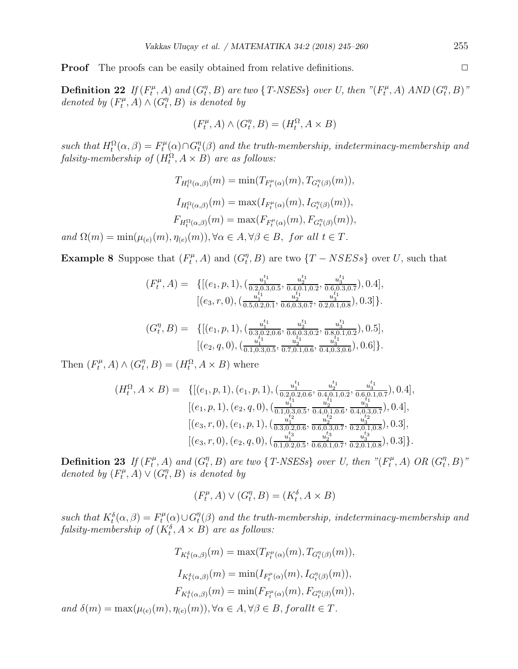**Proof** The proofs can be easily obtained from relative definitions.

Definition 22 If  $(F_t^{\mu})$  $f_t^{\mu}$ , A) and  $(G_t^{\eta})$  $(t, t<sup>n</sup>, B)$  are two { T-NSESs} over U, then "( $F_t^{\mu}$ )  $H_t^{\mu}$ , A) AND  $(G_t^{\eta})$  $_{t}^{\eta },B)^{\, \eta }$ denoted by  $(F_t^{\mu})$  $(T_t^{\mu}, A) \wedge (G_t^{\eta})$  $_{t}^{\eta},B)$  is denoted by

$$
(F_t^{\mu}, A) \wedge (G_t^{\eta}, B) = (H_t^{\Omega}, A \times B)
$$

such that  $H_t^{\Omega}(\alpha, \beta) = F_t^{\mu}$  $G_t^{\mu}(\alpha) \cap G_t^{\eta}$  $t^{\eta}_t(\beta)$  and the truth-membership, indeterminacy-membership and  $\textit{falsity-membership of } (H_t^{\Omega}, A \times B)$  are as follows:

> $T_{H_t^{\Omega}(\alpha,\beta)}(m) = \min(T_{F_t^{\mu}(\alpha)}(m), T_{G_t^{\eta}(\beta)}(m)),$  $I_{H_t^{\Omega}(\alpha,\beta)}(m) = \max(I_{F_t^{\mu}(\alpha)}(m), I_{G_t^{\eta}(\beta)}(m)),$  $F_{H_t^{\Omega}(\alpha,\beta)}(m) = \max(F_{F_t^{\mu}(\alpha)}(m), F_{G_t^{\eta}(\beta)}(m)),$

and  $\Omega(m) = \min(\mu_{(e)}(m), \eta_{(e)}(m)), \forall \alpha \in A, \forall \beta \in B, \text{ for all } t \in T.$ 

**Example 8** Suppose that  $(F_t^{\mu})$  $G_t^{\mu}$ , A) and  $(G_t^{\eta})$  $_{t}^{\eta},B)$  are two  $\{T-NSESS\}$  over U, such that

$$
(F_t^{\mu}, A) = \{[(e_1, p, 1), (\frac{u_1^{t_1}}{0.2, 0.3, 0.5}, \frac{u_2^{t_1}}{0.4, 0.1, 0.2}, \frac{u_3^{t_1}}{0.6, 0.3, 0.7}), 0.4],
$$

$$
[(e_3, r, 0), (\frac{u_1^{t_1}}{0.5, 0.2, 0.1}, \frac{u_2^{t_1}}{0.6, 0.3, 0.7}, \frac{u_3^{t_1}}{0.2, 0.1, 0.8}), 0.3]\}.
$$

$$
(G_t^{\eta}, B) = \{[(e_1, p, 1), (\frac{u_1^{t_1}}{0.3, 0.2, 0.6}, \frac{u_2^{t_1}}{0.6, 0.3, 0.2}, \frac{u_3^{t_1}}{0.8, 0.1, 0.2}), 0.5],
$$

$$
[(e_2, q, 0), (\frac{u_1^{t_1}}{0.1, 0.3, 0.5}, \frac{u_2^{t_1}}{0.7, 0.1, 0.6}, \frac{u_3^{t_1}}{0.4, 0.3, 0.6}), 0.6]\}.
$$

Then  $(F_t^{\mu}$  $G_t^{\mu}, A) \wedge (G_t^{\eta})$  $t^{\eta}, B$  =  $(H_t^{\Omega}, A \times B)$  where

$$
(H_t^{\Omega}, A \times B) = \{[(e_1, p, 1), (e_1, p, 1), (\frac{u_1^{t_1}}{0.2, 0.2, 0.6}, \frac{u_2^{t_1}}{0.4, 0.1, 0.2}, \frac{u_3^{t_1}}{0.6, 0.1, 0.7}), 0.4],
$$
  

$$
[(e_1, p, 1), (e_2, q, 0), (\frac{u_1^{t_1}}{0.1, 0.3, 0.5}, \frac{u_2^{t_1}}{0.4, 0.1, 0.6}, \frac{u_3^{t_1}}{0.4, 0.3, 0.7}), 0.4],
$$
  

$$
[(e_3, r, 0), (e_1, p, 1), (\frac{u_1^{t_2}}{0.3, 0.2, 0.6}, \frac{u_2^{t_2}}{0.6, 0.3, 0.7}, \frac{u_3^{t_2}}{0.2, 0.1, 0.8}), 0.3],
$$
  

$$
[(e_3, r, 0), (e_2, q, 0), (\frac{u_1^{t_3}}{0.1, 0.2, 0.5}, \frac{u_2^{t_3}}{0.6, 0.1, 0.7}, \frac{u_3^{t_3}}{0.2, 0.1, 0.8}), 0.3]\}.
$$

Definition 23 If  $(F_t^{\mu})$  $f_t^{\mu}$ , A) and  $(G_t^{\eta})$  $(t, t^{n}, B)$  are two {T-NSESs} over U, then "( $F_t^{\mu}$ )  $G_t^{\mu}$ , A) OR  $(G_t^{\eta})$  $_{t}^{\eta},B)$ " denoted by  $(F_t^{\mu})$  $(T_t^{\mu}, A) \vee (G_t^{\eta})$  $_{t}^{\eta},B)$  is denoted by

$$
(F_t^{\mu}, A) \vee (G_t^{\eta}, B) = (K_t^{\delta}, A \times B)
$$

such that  $K_t^{\delta}(\alpha, \beta) = F_t^{\mu}$  $G_t^{\mu}(\alpha) \cup G_t^{\eta}$  $t^{\eta}(\beta)$  and the truth-membership, indeterminacy-membership and falsity-membership of  $(K_t^{\delta}, A \times B)$  are as follows:

$$
T_{K_t^{\delta}(\alpha,\beta)}(m) = \max(T_{F_t^{\mu}(\alpha)}(m), T_{G_t^{\eta}(\beta)}(m)),
$$
  
\n
$$
I_{K_t^{\delta}(\alpha,\beta)}(m) = \min(I_{F_t^{\mu}(\alpha)}(m), I_{G_t^{\eta}(\beta)}(m)),
$$
  
\n
$$
F_{K_t^{\delta}(\alpha,\beta)}(m) = \min(F_{F_t^{\mu}(\alpha)}(m), F_{G_t^{\eta}(\beta)}(m)),
$$
  
\nand  $\delta(m) = \max(\mu_{(e)}(m), \eta_{(e)}(m)), \forall \alpha \in A, \forall \beta \in B, for all t \in T.$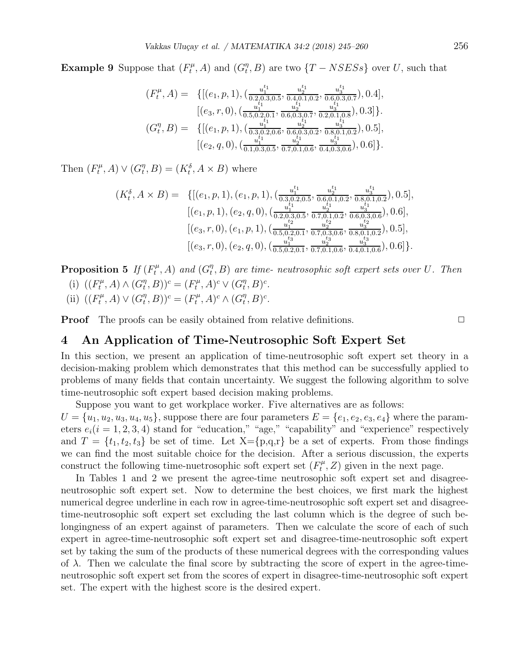**Example 9** Suppose that  $(F_t^{\mu})$  $G_t^{\mu}$ , A) and  $(G_t^{\eta})$  $(T, B)$  are two  $\{T - NSESs\}$  over U, such that

$$
(F_t^{\mu}, A) = \{[(e_1, p, 1), (\frac{u_1^{t_1}}{0.2, 0.3, 0.5}, \frac{u_2^{t_1}}{0.4, 0.1, 0.2}, \frac{u_3^{t_1}}{0.6, 0.3, 0.7}), 0.4],\\ [(e_3, r, 0), (\frac{u_1^{t_1}}{0.5, 0.2, 0.1}, \frac{u_2^{t_1}}{0.6, 0.3, 0.7}, \frac{u_3^{t_1}}{0.2, 0.1, 0.8}), 0.3]\}.
$$
  

$$
(G_t^{\eta}, B) = \{[(e_1, p, 1), (\frac{u_1^{t_1}}{0.3, 0.2, 0.6}, \frac{u_2^{t_1}}{0.6, 0.3, 0.2}, \frac{u_3^{t_1}}{0.8, 0.1, 0.2}), 0.5],\\ [(e_2, q, 0), (\frac{u_1^{t_1}}{0.1, 0.3, 0.5}, \frac{u_2^{t_1}}{0.7, 0.1, 0.6}, \frac{u_3^{t_1}}{0.4, 0.3, 0.6}), 0.6]\}.
$$

Then  $(F_t^{\mu}$  $(T_t^{\mu}, A) \vee (G_t^{\eta})$  $t^{\eta}, B$  =  $(K_t^{\delta}, A \times B)$  where

$$
(K_t^{\delta}, A \times B) = \{[(e_1, p, 1), (e_1, p, 1), (\frac{u_1^{t_1}}{0.3, 0.2, 0.5}, \frac{u_2^{t_1}}{0.6, 0.1, 0.2}, \frac{u_3^{t_1}}{0.8, 0.1, 0.2}), 0.5],
$$
  

$$
[(e_1, p, 1), (e_2, q, 0), (\frac{u_1^{t_1}}{0.2, 0.3, 0.5}, \frac{u_2^{t_1}}{0.7, 0.1, 0.2}, \frac{u_3^{t_1}}{0.6, 0.3, 0.6}), 0.6],
$$
  

$$
[(e_3, r, 0), (e_1, p, 1), (\frac{u_1^{t_2}}{0.5, 0.2, 0.1}, \frac{u_2^{t_2}}{0.7, 0.3, 0.6}, \frac{u_3^{t_2}}{0.8, 0.1, 0.2}), 0.5],
$$
  

$$
[(e_3, r, 0), (e_2, q, 0), (\frac{u_1^{t_3}}{0.5, 0.2, 0.1}, \frac{u_2^{t_3}}{0.7, 0.1, 0.6}, \frac{u_3^{t_3}}{0.4, 0.1, 0.6}), 0.6]\}.
$$

Proposition 5 If  $(F_t^{\mu})$  $f_t^{\mu}$ , A) and  $(G_t^{\eta})$  $_{t}^{\eta},B)$  are time- neutrosophic soft expert sets over U. Then

- (i)  $((F_t^{\mu})$  $G_t^{\mu}, A) \wedge (G_t^{\eta})$  $(T_t^{\eta}, B))^c = (F_t^{\mu})$  $(T_t^{\mu}, A)^c \vee (G_t^{\eta})$  $_{t}^{\eta},B)^{c}.$
- (ii)  $((F_t^{\mu})$  $G_t^{\mu}, A) \vee (G_t^{\eta})$  $(T_t^{\eta}, B))^c = (F_t^{\mu})$  $(G_t^{\eta}, A)^c \wedge (G_t^{\eta})$  $_{t}^{\eta},B)^{c}.$

**Proof** The proofs can be easily obtained from relative definitions.

## 4 An Application of Time-Neutrosophic Soft Expert Set

In this section, we present an application of time-neutrosophic soft expert set theory in a decision-making problem which demonstrates that this method can be successfully applied to problems of many fields that contain uncertainty. We suggest the following algorithm to solve time-neutrosophic soft expert based decision making problems.

Suppose you want to get workplace worker. Five alternatives are as follows:

 $U = \{u_1, u_2, u_3, u_4, u_5\}$ , suppose there are four parameters  $E = \{e_1, e_2, e_3, e_4\}$  where the parameters  $e_i(i = 1, 2, 3, 4)$  stand for "education," "age," "capability" and "experience" respectively and  $T = \{t_1, t_2, t_3\}$  be set of time. Let  $X = \{p,q,r\}$  be a set of experts. From those findings we can find the most suitable choice for the decision. After a serious discussion, the experts construct the following time-nuetrosophic soft expert set  $(F_t^{\mu})$  $t^{\mu}_{t}$ , Z) given in the next page.

In Tables 1 and 2 we present the agree-time neutrosophic soft expert set and disagreeneutrosophic soft expert set. Now to determine the best choices, we first mark the highest numerical degree underline in each row in agree-time-neutrosophic soft expert set and disagreetime-neutrosophic soft expert set excluding the last column which is the degree of such belongingness of an expert against of parameters. Then we calculate the score of each of such expert in agree-time-neutrosophic soft expert set and disagree-time-neutrosophic soft expert set by taking the sum of the products of these numerical degrees with the corresponding values of  $\lambda$ . Then we calculate the final score by subtracting the score of expert in the agree-timeneutrosophic soft expert set from the scores of expert in disagree-time-neutrosophic soft expert set. The expert with the highest score is the desired expert.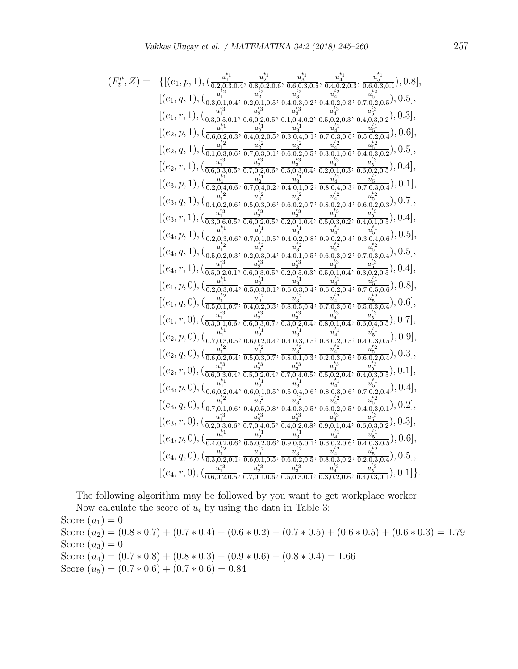$$
(F_t^{\mu},Z) = \{[(e_1, p, 1), (\frac{u_1^{\mu_1}}{0.3,0,1,0.4}, \frac{u_2^{\mu_1}}{0.2,0.6}, \frac{u_3^{\mu_2}}{0.4,0,2,0.5}, \frac{u_4^{\mu_1}}{0.4,0,2,0.5}, \frac{u_4^{\mu_1}}{0.4,0,2,0.5}, \frac{u_4^{\mu_2}}{0.4,0,2,0.5}, \frac{u_4^{\mu_2}}{0.4,0,2,0.5}, \frac{u_4^{\mu_2}}{0.4,0,2,0.5}, \frac{u_4^{\mu_2}}{0.4,0,2,0.5}, \frac{u_4^{\mu_2}}{0.4,0,2,0.5}, \frac{u_4^{\mu_2}}{0.4,0,2,0.5}, \frac{u_4^{\mu_2}}{0.4,0,2,0.5}, \frac{u_4^{\mu_2}}{0.4,0,2,0.5}, \frac{u_4^{\mu_2}}{0.4,0,2,0.5}, \frac{u_4^{\mu_2}}{0.4,0,2,0.5}, \frac{u_4^{\mu_2}}{0.4,0,2,0.5}, \frac{u_4^{\mu_2}}{0.4,0,2,0.5}, \frac{u_4^{\mu_2}}{0.4,0,2,0.5}, \frac{u_4^{\mu_2}}{0.4,0,2,0.5}, \frac{u_4^{\mu_2}}{0.4,0,2,0.5}, \frac{u_4^{\mu_2}}{0.4,0,2,0.5}, \frac{u_4^{\mu_2}}{0.4,0,2,0.5}, \frac{u_4^{\mu_2}}{0.4,0,2,0.5}, \frac{u_4^{\mu_2}}{0.4,0,2,0.5}, \frac{u_4^{\mu_2}}{0.4,0,2,0.5}, \frac{u_4^{\mu_2}}{0.4,0,2,0.5}, \frac{u_4^{\mu_2}}{0.4,0,2,0.5}, \frac{u_4^{\mu_2}}{0.4,0,2,0.5}, \frac{u_4^{\mu_2}}{0.4,0,2,0.5}, \frac{u_4^{\mu_2}}{0.4,
$$

The following algorithm may be followed by you want to get workplace worker.

Now calculate the score of  $u_i$  by using the data in Table 3:

Score  $(u_1)=0$ Score  $(u_2) = (0.8 * 0.7) + (0.7 * 0.4) + (0.6 * 0.2) + (0.7 * 0.5) + (0.6 * 0.5) + (0.6 * 0.3) = 1.79$ Score  $(u_3)=0$ Score  $(u_4) = (0.7 * 0.8) + (0.8 * 0.3) + (0.9 * 0.6) + (0.8 * 0.4) = 1.66$ Score  $(u_5) = (0.7 * 0.6) + (0.7 * 0.6) = 0.84$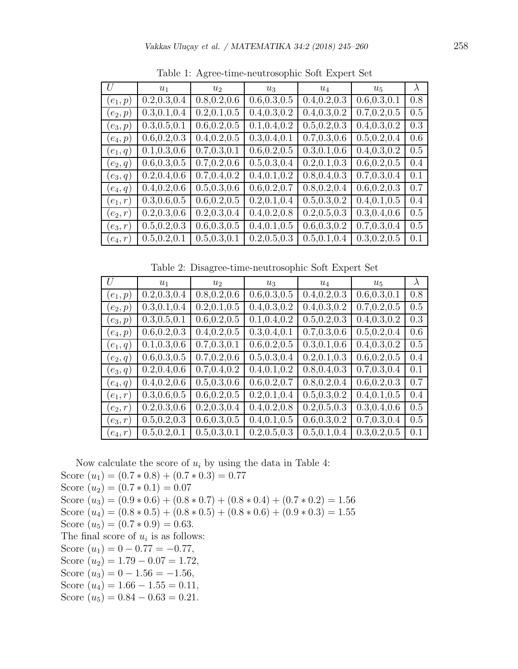| II        | $u_1$         | u <sub>2</sub>           | $u_3$         | $u_4$         | $u_{5}$       | $\lambda$ |
|-----------|---------------|--------------------------|---------------|---------------|---------------|-----------|
| $(e_1,p)$ | 0.2, 0.3, 0.4 | 0.8, 0.2, 0.6            | 0.6, 0.3, 0.5 | 0.4, 0.2, 0.3 | 0.6, 0.3, 0.1 | 0.8       |
| $(e_2,p)$ | 0.3, 0.1, 0.4 | $\overline{0.2,0.1,0.5}$ | 0.4, 0.3, 0.2 | 0.4, 0.3, 0.2 | 0.7, 0.2, 0.5 | 0.5       |
| $(e_3,p)$ | 0.3, 0.5, 0.1 | 0.6, 0.2, 0.5            | 0.1, 0.4, 0.2 | 0.5, 0.2, 0.3 | 0.4, 0.3, 0.2 | 0.3       |
| $(e_4,p)$ | 0.6, 0.2, 0.3 | 0.4, 0.2, 0.5            | 0.3, 0.4, 0.1 | 0.7, 0.3, 0.6 | 0.5, 0.2, 0.4 | 0.6       |
| $(e_1,q)$ | 0.1, 0.3, 0.6 | 0.7, 0.3, 0.1            | 0.6, 0.2, 0.5 | 0.3, 0.1, 0.6 | 0.4, 0.3, 0.2 | 0.5       |
| $(e_2,q)$ | 0.6, 0.3, 0.5 | 0.7, 0.2, 0.6            | 0.5, 0.3, 0.4 | 0.2, 0.1, 0.3 | 0.6, 0.2, 0.5 | 0.4       |
| $(e_3,q)$ | 0.2, 0.4, 0.6 | 0.7, 0.4, 0.2            | 0.4, 0.1, 0.2 | 0.8, 0.4, 0.3 | 0.7, 0.3, 0.4 | 0.1       |
| $(e_4,q)$ | 0.4, 0.2, 0.6 | 0.5, 0.3, 0.6            | 0.6, 0.2, 0.7 | 0.8, 0.2, 0.4 | 0.6, 0.2, 0.3 | 0.7       |
| $(e_1,r)$ | 0.3, 0.6, 0.5 | 0.6, 0.2, 0.5            | 0.2, 0.1, 0.4 | 0.5, 0.3, 0.2 | 0.4, 0.1, 0.5 | 0.4       |
| $(e_2,r)$ | 0.2, 0.3, 0.6 | 0.2, 0.3, 0.4            | 0.4, 0.2, 0.8 | 0.2, 0.5, 0.3 | 0.3, 0.4, 0.6 | 0.5       |
| $(e_3,r)$ | 0.5, 0.2, 0.3 | 0.6, 0.3, 0.5            | 0.4, 0.1, 0.5 | 0.6, 0.3, 0.2 | 0.7, 0.3, 0.4 | 0.5       |
| $(e_4,r)$ | 0.5, 0.2, 0.1 | 0.5, 0.3, 0.1            | 0.2, 0.5, 0.3 | 0.5, 0.1, 0.4 | 0.3, 0.2, 0.5 | 0.1       |

Table 1: Agree-time-neutrosophic Soft Expert Set

Table 2: Disagree-time-neutrosophic Soft Expert Set

| U         | $u_1$         | u <sub>2</sub>              | $u_3$                       | $u_4$                      | $u_{5}$       | $\lambda$ |
|-----------|---------------|-----------------------------|-----------------------------|----------------------------|---------------|-----------|
| $(e_1,p)$ | 0.2, 0.3, 0.4 | 0.8, 0.2, 0.6               | 0.6, 0.3, 0.5               | 0.4, 0.2, 0.3              | 0.6, 0.3, 0.1 | 0.8       |
| $(e_2,p)$ | 0.3, 0.1, 0.4 | 0.2, 0.1, 0.5               | $\overline{0.4, 0.3}$ , 0.2 | $\overline{0.4}, 0.3, 0.2$ | 0.7, 0.2, 0.5 | 0.5       |
| $(e_3,p)$ | 0.3, 0.5, 0.1 | 0.6, 0.2, 0.5               | 0.1, 0.4, 0.2               | 0.5, 0.2, 0.3              | 0.4, 0.3, 0.2 | 0.3       |
| $(e_4,p)$ | 0.6, 0.2, 0.3 | 0.4, 0.2, 0.5               | 0.3, 0.4, 0.1               | 0.7, 0.3, 0.6              | 0.5, 0.2, 0.4 | 0.6       |
| $(e_1,q)$ | 0.1, 0.3, 0.6 | 0.7, 0.3, 0.1               | 0.6, 0.2, 0.5               | 0.3, 0.1, 0.6              | 0.4, 0.3, 0.2 | 0.5       |
| $(e_2,q)$ | 0.6, 0.3, 0.5 | 0.7, 0.2, 0.6               | 0.5, 0.3, 0.4               | 0.2, 0.1, 0.3              | 0.6, 0.2, 0.5 | 0.4       |
| $(e_3,q)$ | 0.2, 0.4, 0.6 | 0.7, 0.4, 0.2               | 0.4, 0.1, 0.2               | 0.8, 0.4, 0.3              | 0.7, 0.3, 0.4 | 0.1       |
| $(e_4,q)$ | 0.4, 0.2, 0.6 | 0.5, 0.3, 0.6               | 0.6, 0.2, 0.7               | 0.8, 0.2, 0.4              | 0.6, 0.2, 0.3 | 0.7       |
| $(e_1,r)$ | 0.3, 0.6, 0.5 | $\overline{0.6}$ , 0.2, 0.5 | 0.2, 0.1, 0.4               | 0.5, 0.3, 0.2              | 0.4, 0.1, 0.5 | 0.4       |
| $(e_2,r)$ | 0.2, 0.3, 0.6 | 0.2, 0.3, 0.4               | 0.4, 0.2, 0.8               | 0.2, 0.5, 0.3              | 0.3, 0.4, 0.6 | 0.5       |
| $(e_3,r)$ | 0.5, 0.2, 0.3 | 0.6, 0.3, 0.5               | 0.4, 0.1, 0.5               | 0.6, 0.3, 0.2              | 0.7, 0.3, 0.4 | 0.5       |
| $(e_4,r)$ | 0.5, 0.2, 0.1 | 0.5, 0.3, 0.1               | 0.2, 0.5, 0.3               | 0.5, 0.1, 0.4              | 0.3, 0.2, 0.5 | 0.1       |

Now calculate the score of  $u_i$  by using the data in Table 4:

Score  $(u_1) = (0.7 * 0.8) + (0.7 * 0.3) = 0.77$ Score  $(u_2) = (0.7 * 0.1) = 0.07$ Score  $(u_3) = (0.9 * 0.6) + (0.8 * 0.7) + (0.8 * 0.4) + (0.7 * 0.2) = 1.56$ Score  $(u_4) = (0.8 * 0.5) + (0.8 * 0.5) + (0.8 * 0.6) + (0.9 * 0.3) = 1.55$ Score  $(u_5) = (0.7 * 0.9) = 0.63$ . The final score of  $u_i$  is as follows: Score  $(u_1) = 0 - 0.77 = -0.77$ , Score  $(u_2) = 1.79 - 0.07 = 1.72$ , Score  $(u_3) = 0 - 1.56 = -1.56$ , Score  $(u_4) = 1.66 - 1.55 = 0.11$ , Score  $(u_5) = 0.84 - 0.63 = 0.21$ .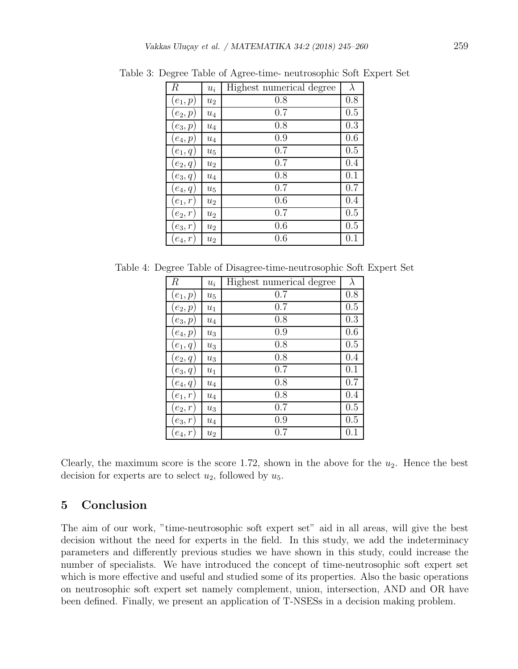| $\boldsymbol{R}$ | $u_i$              | Highest numerical degree | $\lambda$ |
|------------------|--------------------|--------------------------|-----------|
| $(e_1,p)$        | $u_2$              | 0.8                      | 0.8       |
| $(e_2,p)$        | $\boldsymbol{u}_4$ | 0.7                      | 0.5       |
| $(e_3,p)$        | $u_4$              | 0.8                      | 0.3       |
| $(e_4,p)$        | $\boldsymbol{u}_4$ | 0.9                      | 0.6       |
| $(e_1,q)$        | $u_{5}$            | 0.7                      | 0.5       |
| $(e_2,q)$        | $u_2$              | 0.7                      | 0.4       |
| $(e_3,q)$        | $u_4$              | 0.8                      | 0.1       |
| $(e_4,q)$        | $u_{5}$            | 0.7                      | 0.7       |
| $(e_1,r)$        | u <sub>2</sub>     | 0.6                      | 0.4       |
| $(e_2,r)$        | $u_2$              | 0.7                      | 0.5       |
| $(e_3,r)$        | $u_2$              | 0.6                      | 0.5       |
| $e_4, r$         | $u_2$              | 0.6                      | 0.1       |

Table 3: Degree Table of Agree-time- neutrosophic Soft Expert Set

Table 4: Degree Table of Disagree-time-neutrosophic Soft Expert Set

| R          | $u_i$              | Highest numerical degree | $\lambda$ |
|------------|--------------------|--------------------------|-----------|
| $(e_1,p)$  | $u_5$              | 0.7                      | 0.8       |
| $(e_2,p)$  | $\boldsymbol{u}_1$ | 0.7                      | 0.5       |
| $(e_3,p)$  | $\mathfrak{u}_4$   | 0.8                      | 0.3       |
| $(e_4,p)$  | $u_3$              | 0.9                      | 0.6       |
| $(e_1,q)$  | $u_3$              | 0.8                      | 0.5       |
| $(e_2,q)$  | $u_3$              | 0.8                      | 0.4       |
| $(e_3,q)$  | $u_1$              | 0.7                      | 0.1       |
| $(e_4,q)$  | $u_4$              | 0.8                      | 0.7       |
| $(e_1,r)$  | $\boldsymbol{u}_4$ | 0.8                      | 0.4       |
| $(e_2,r)$  | $u_3$              | 0.7                      | 0.5       |
| $(e_3,r)$  | $u_4$              | 0.9                      | 0.5       |
| $(e_4, r)$ | $u_2$              | 0.7                      | 0.1       |

Clearly, the maximum score is the score 1.72, shown in the above for the  $u_2$ . Hence the best decision for experts are to select  $u_2$ , followed by  $u_5$ .

# 5 Conclusion

The aim of our work, "time-neutrosophic soft expert set" aid in all areas, will give the best decision without the need for experts in the field. In this study, we add the indeterminacy parameters and differently previous studies we have shown in this study, could increase the number of specialists. We have introduced the concept of time-neutrosophic soft expert set which is more effective and useful and studied some of its properties. Also the basic operations on neutrosophic soft expert set namely complement, union, intersection, AND and OR have been defined. Finally, we present an application of T-NSESs in a decision making problem.